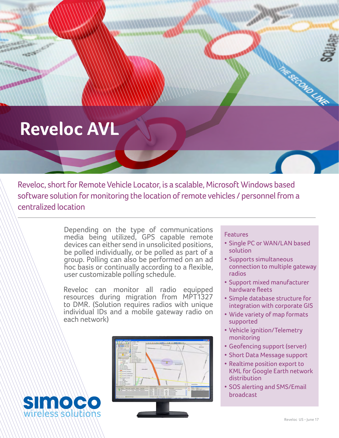## **Reveloc AVL**

Simood

wireless solutions

**ANARCHER** 

Reveloc, short for Remote Vehicle Locator, is a scalable, Microsoft Windows based software solution for monitoring the location of remote vehicles / personnel from a centralized location

> Depending on the type of communications media being utilized, GPS capable remote devices can either send in unsolicited positions, be polled individually, or be polled as part of a group. Polling can also be performed on an ad hoc basis or continually according to a flexible, user customizable polling schedule.

> Reveloc can monitor all radio equipped resources during migration from MPT1327 to DMR. (Solution requires radios with unique individual IDs and a mobile gateway radio on each network)



#### **Features**

• Single PC or WAN/LAN based solution

ESECOND LAKE

- Supports simultaneous connection to multiple gateway radios
- Support mixed manufacturer hardware fleets
- Simple database structure for integration with corporate GIS
- Wide variety of map formats supported
- • Vehicle ignition/Telemetry monitoring
- Geofencing support (server)
- Short Data Message support
- Realtime position export to KML for Google Earth network distribution
- SOS alerting and SMS/Email broadcast